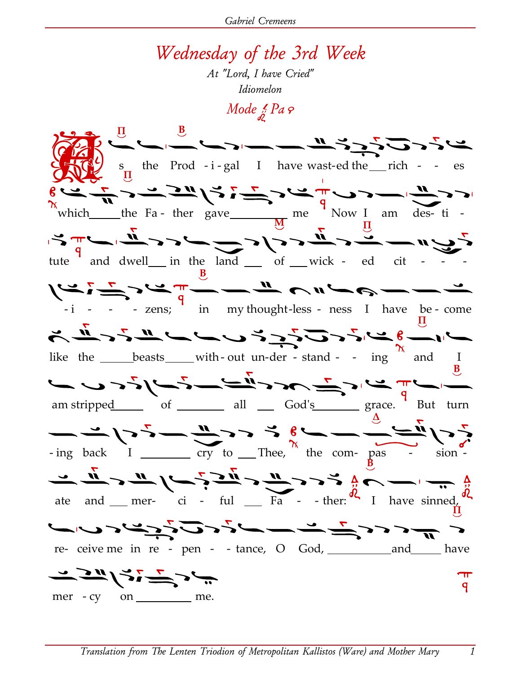Gabriel Cremeens

## Wednesday of the 3rd Week

At "Lord, I have Cried" Idiomelon

Mode  $\frac{1}{\beta}$  Pa  $\varphi$ 



 $\mathcal{I}$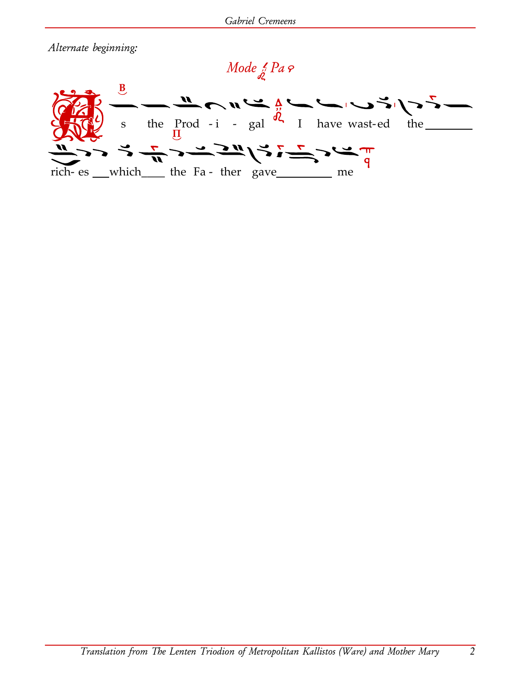Alternate beginning:

## Mode 2 Pa ?

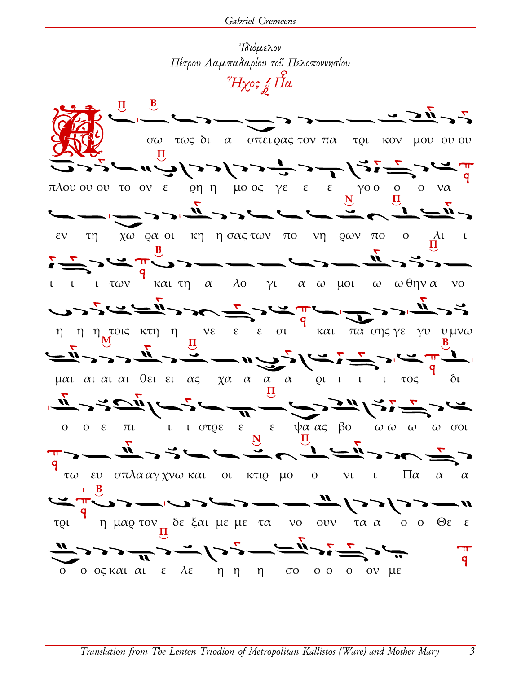

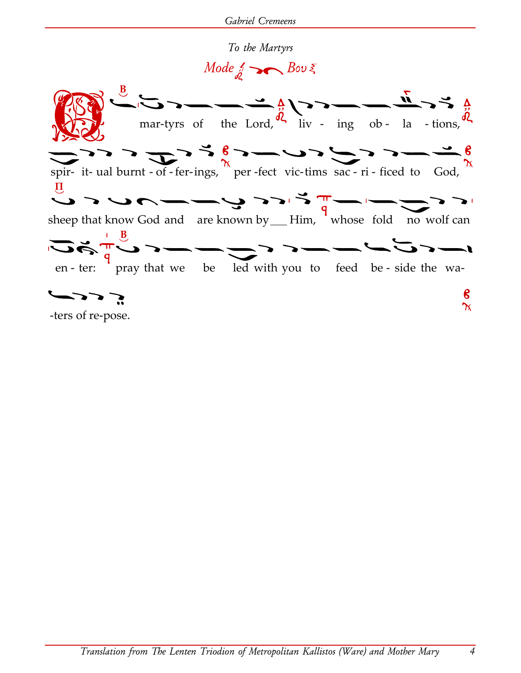To the Martyrs

 $Mode_{\mathring{a}}$   $S$   $Bov \xi$ 



Translation from The Lenten Triodion of Metropolitan Kallistos (Ware) and Mother Mary

4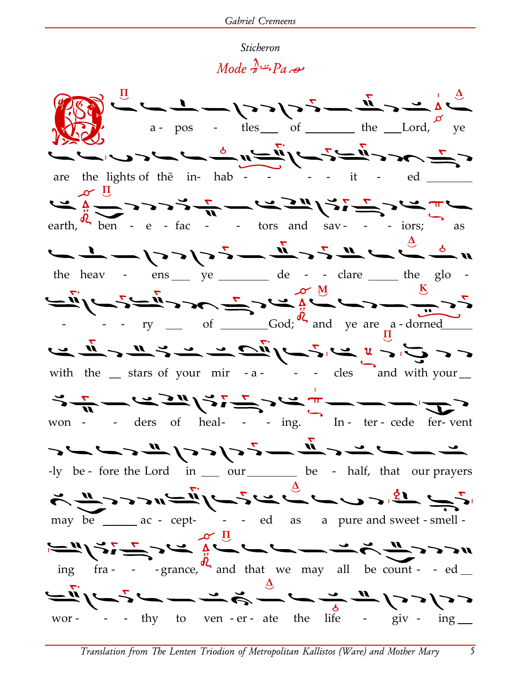## Sticheron

## $Mode \rightarrow Pa \rightarrow$